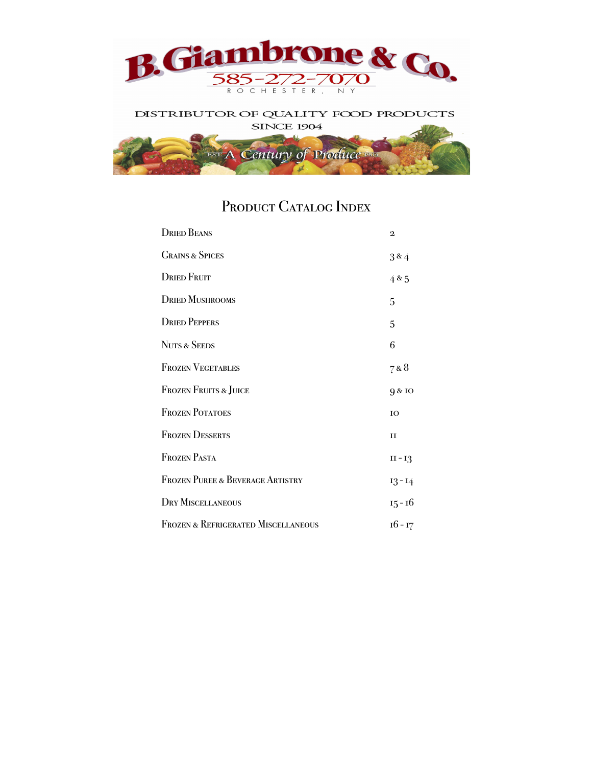

#### DISTRIBUTOR OF QUALITY FOOD PRODUCTS **SINCE 1904**



# PRODUCT CATALOG INDEX

| <b>DRIED BEANS</b>                             | $\mathbf{2}$ |
|------------------------------------------------|--------------|
| <b>GRAINS &amp; SPICES</b>                     | 3&4          |
| <b>DRIED FRUIT</b>                             | 485          |
| <b>DRIED MUSHROOMS</b>                         | 5            |
| <b>DRIED PEPPERS</b>                           | 5            |
| <b>NUTS &amp; SEEDS</b>                        | 6            |
| <b>FROZEN VEGETABLES</b>                       | 7 & 8        |
| <b>FROZEN FRUITS &amp; JUICE</b>               | 9 & 10       |
| <b>FROZEN POTATOES</b>                         | IO           |
| <b>FROZEN DESSERTS</b>                         | $_{\rm II}$  |
| <b>FROZEN PASTA</b>                            | $II - I$ 3   |
| <b>FROZEN PUREE &amp; BEVERAGE ARTISTRY</b>    | $13 - 14$    |
| <b>DRY MISCELLANEOUS</b>                       | $15 - 16$    |
| <b>FROZEN &amp; REFRIGERATED MISCELLANEOUS</b> | $16 - 17$    |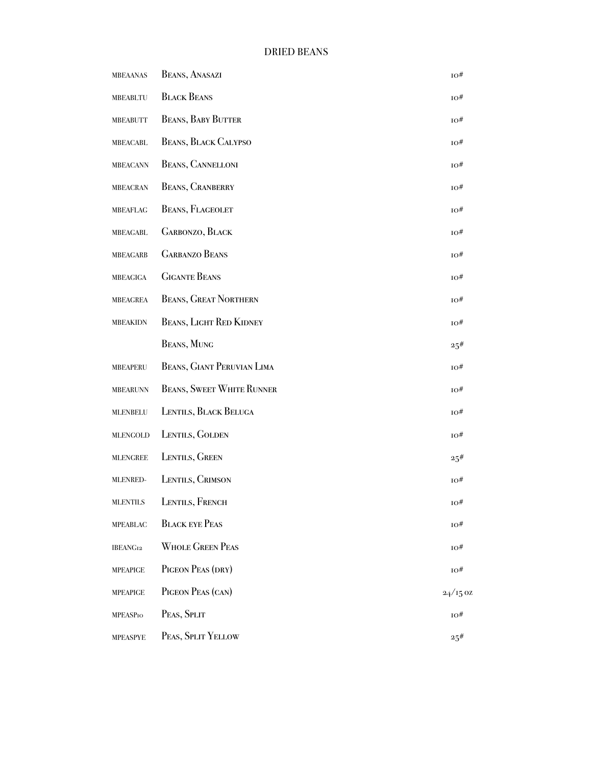| <b>MBEAANAS</b> | <b>BEANS, ANASAZI</b>            | 10#            |
|-----------------|----------------------------------|----------------|
| <b>MBEABLTU</b> | <b>BLACK BEANS</b>               | 10#            |
| <b>MBEABUTT</b> | <b>BEANS, BABY BUTTER</b>        | 10#            |
| <b>MBEACABL</b> | <b>BEANS, BLACK CALYPSO</b>      | 10#            |
| <b>MBEACANN</b> | <b>BEANS, CANNELLONI</b>         | 10#            |
| <b>MBEACRAN</b> | <b>BEANS, CRANBERRY</b>          | 10#            |
| <b>MBEAFLAG</b> | <b>BEANS, FLAGEOLET</b>          | 10#            |
| MBEAGABL        | <b>GARBONZO, BLACK</b>           | 10#            |
| <b>MBEAGARB</b> | <b>GARBANZO BEANS</b>            | 10#            |
| <b>MBEAGIGA</b> | <b>GIGANTE BEANS</b>             | ю#             |
| <b>MBEAGREA</b> | <b>BEANS, GREAT NORTHERN</b>     | ю#             |
| <b>MBEAKIDN</b> | <b>BEANS, LIGHT RED KIDNEY</b>   | $_{\rm IO} \#$ |
|                 | <b>BEANS, MUNG</b>               | 25#            |
| <b>MBEAPERU</b> | BEANS, GIANT PERUVIAN LIMA       | 10#            |
| <b>MBEARUNN</b> | <b>BEANS, SWEET WHITE RUNNER</b> | 10#            |
| <b>MLENBELU</b> | LENTILS, BLACK BELUGA            | 10#            |
| <b>MLENGOLD</b> | LENTILS, GOLDEN                  | 10#            |
| <b>MLENGREE</b> | LENTILS, GREEN                   | 25#            |
| <b>MLENRED-</b> | LENTILS, CRIMSON                 | 10#            |
| <b>MLENTILS</b> | LENTILS, FRENCH                  | $_{\rm IO} \#$ |
| <b>MPEABLAC</b> | <b>BLACK EYE PEAS</b>            | 10#            |
| IBEANG12        | <b>WHOLE GREEN PEAS</b>          | 10#            |
| <b>MPEAPIGE</b> | PIGEON PEAS (DRY)                | 10#            |
| <b>MPEAPIGE</b> | PIGEON PEAS (CAN)                | $24/15$ OZ     |
| <b>MPEASPIO</b> | PEAS, SPLIT                      | 10#            |
| <b>MPEASPYE</b> | PEAS, SPLIT YELLOW               | 25#            |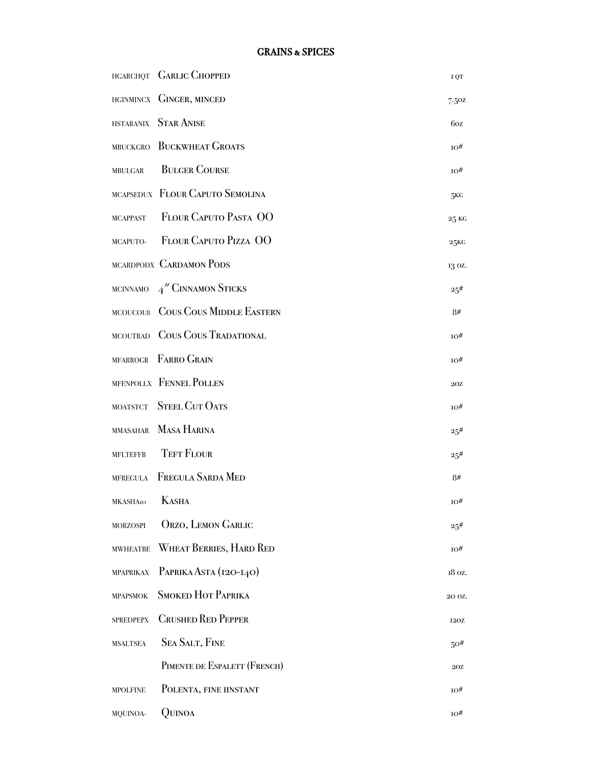|                  | HGARCHQT GARLIC CHOPPED           | I QT            |
|------------------|-----------------------------------|-----------------|
|                  | HGINMINCX GINGER, MINCED          | 7.50z           |
|                  | HSTARANIX STAR ANISE              | 60z             |
|                  | MBUCKGRO BUCKWHEAT GROATS         | 10#             |
| <b>MBULGAR</b>   | <b>BULGER COURSE</b>              | 10#             |
|                  | MCAPSEDUX FLOUR CAPUTO SEMOLINA   | 5KG             |
|                  | MCAPPAST FLOUR CAPUTO PASTA OO    | 25 KG           |
|                  | MCAPUTO- FLOUR CAPUTO PIZZA OO    | 25 <sub>K</sub> |
|                  | MCARDPODX CARDAMON PODS           | 13 oz.          |
|                  | MCINNAMO $4''$ CINNAMON STICKS    | $25^{\#}$       |
|                  | MCOUCOU8 COUS COUS MIDDLE EASTERN | 8#              |
|                  | MCOUTRAD COUS COUS TRADATIONAL    | 10#             |
|                  | MFARROGR FARRO GRAIN              | ю#              |
|                  | MFENPOLLX FENNEL POLLEN           | 20Z             |
|                  | MOATSTCT STEEL CUT OATS           | ю#              |
|                  | MMASAHAR MASA HARINA              | 25#             |
| <b>MFLTEFFB</b>  | <b>TEFT FLOUR</b>                 | 25#             |
|                  | MFREGULA FREGULA SARDA MED        | 8#              |
| MKASHAIO KASHA   |                                   | TO#             |
| <b>MORZOSPI</b>  | <b>ORZO, LEMON GARLIC</b>         | 25#             |
| <b>MWHEATBE</b>  | <b>WHEAT BERRIES, HARD RED</b>    | 10#             |
| <b>MPAPRIKAX</b> | PAPRIKA ASTA (120-140)            | 18 oz.          |
| <b>MPAPSMOK</b>  | <b>SMOKED HOT PAPRIKA</b>         | 20 OZ.          |
| <b>SPREDPEPX</b> | <b>CRUSHED RED PEPPER</b>         | <b>120Z</b>     |
| <b>MSALTSEA</b>  | <b>SEA SALT, FINE</b>             | 50#             |
|                  | PIMENTE DE ESPALETT (FRENCH)      | 20Z             |
| <b>MPOLFINE</b>  | POLENTA, FINE IINSTANT            | 10#             |
| MQUINOA-         | QUINOA                            | ю#              |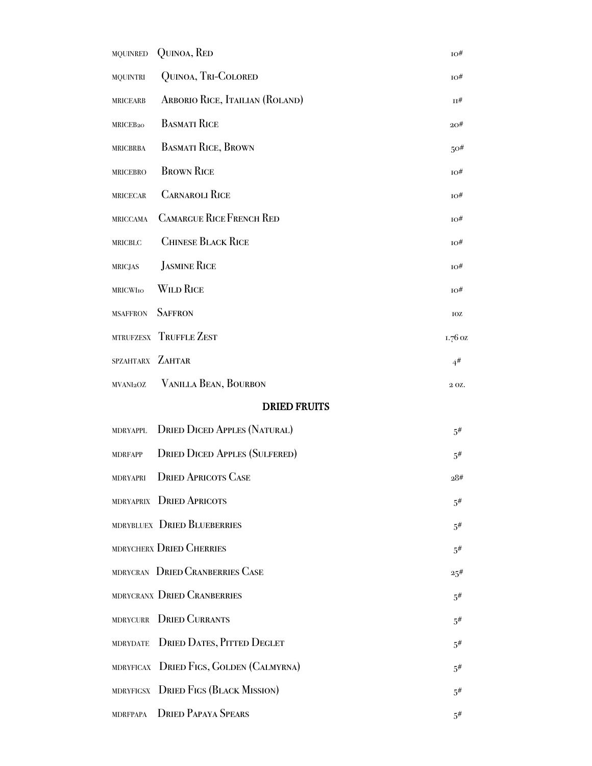| <b>MQUINRED</b>      | QUINOA, RED                          | $_{\rm IO} \#$ |
|----------------------|--------------------------------------|----------------|
| <b>MQUINTRI</b>      | QUINOA, TRI-COLORED                  | ю#             |
| <b>MRICEARB</b>      | ARBORIO RICE, ITAILIAN (ROLAND)      | п#             |
| MRICEB <sub>20</sub> | <b>BASMATI RICE</b>                  | 20#            |
| <b>MRICBRBA</b>      | <b>BASMATI RICE, BROWN</b>           | 50#            |
| <b>MRICEBRO</b>      | <b>BROWN RICE</b>                    | ю#             |
| <b>MRICECAR</b>      | <b>CARNAROLI RICE</b>                | 10#            |
| <b>MRICCAMA</b>      | <b>CAMARGUE RICE FRENCH RED</b>      | 10#            |
| <b>MRICBLC</b>       | <b>CHINESE BLACK RICE</b>            | 10#            |
| <b>MRICJAS</b>       | <b>JASMINE RICE</b>                  | 10#            |
| <b>MRICWIIO</b>      | <b>WILD RICE</b>                     | 10#            |
| <b>MSAFFRON</b>      | <b>SAFFRON</b>                       | IOZ            |
|                      | MTRUFZESX TRUFFLE ZEST               | 1.76 oz        |
| SPZAHTARX ZAHTAR     |                                      | $4^{\#}$       |
| MVANI2OZ             | VANILLA BEAN, BOURBON                | 2 OZ.          |
|                      | <b>DRIED FRUITS</b>                  |                |
| <b>MDRYAPPL</b>      | <b>DRIED DICED APPLES (NATURAL)</b>  | 5#             |
| <b>MDRFAPP</b>       | <b>DRIED DICED APPLES (SULFERED)</b> | 5#             |
| MDRYAPRI             | <b>DRIED APRICOTS CASE</b>           | 28#            |
|                      | MDRYAPRIX DRIED APRICOTS             | $5^{\#}$       |
|                      | MDRYBLUEX DRIED BLUEBERRIES          | $5^{\#}$       |
|                      | MDRYCHERX DRIED CHERRIES             | .5#            |
|                      | MDRYCRAN DRIED CRANBERRIES CASE      | $25^{\#}$      |
|                      | MDRYCRANX DRIED CRANBERRIES          | .5#            |
| <b>MDRYCURR</b>      | <b>DRIED CURRANTS</b>                | .5#            |
| <b>MDRYDATE</b>      | <b>DRIED DATES, PITTED DEGLET</b>    | .5#            |
| <b>MDRYFICAX</b>     | DRIED FIGS, GOLDEN (CALMYRNA)        | .5#            |
| <b>MDRYFIGSX</b>     | <b>DRIED FIGS (BLACK MISSION)</b>    | .5#            |
| <b>MDRFPAPA</b>      | <b>DRIED PAPAYA SPEARS</b>           | .5#            |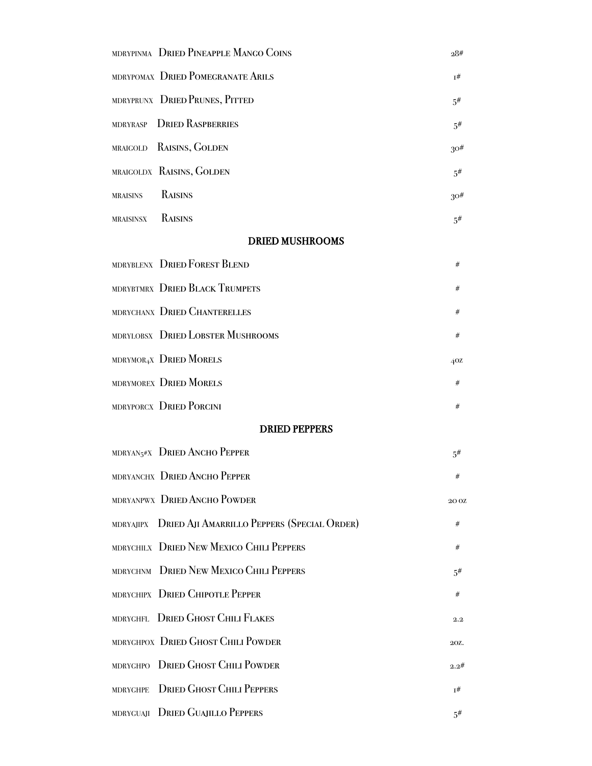| MDRYPINMA DRIED PINEAPPLE MANGO COINS                 | 28#              |
|-------------------------------------------------------|------------------|
| MDRYPOMAX DRIED POMEGRANATE ARILS                     | $I^{\#}$         |
| MDRYPRUNX DRIED PRUNES, PITTED                        | $5^{\#}$         |
| <b>DRIED RASPBERRIES</b><br><b>MDRYRASP</b>           | .5#              |
| RAISINS, GOLDEN<br><b>MRAIGOLD</b>                    | $30\#$           |
| MRAIGOLDX RAISINS, GOLDEN                             | .5#              |
| RAISINS<br><b>MRAISINS</b>                            | $30\#$           |
| RAISINS<br>MRAISINSX                                  | .5#              |
| <b>DRIED MUSHROOMS</b>                                |                  |
| MDRYBLENX DRIED FOREST BLEND                          | #                |
| MDRYBTMRX DRIED BLACK TRUMPETS                        | #                |
| MDRYCHANX DRIED CHANTERELLES                          | #                |
| MDRYLOBSX DRIED LOBSTER MUSHROOMS                     | #                |
| MDRYMOR <sub>4</sub> X DRIED MORELS                   | 40Z              |
| MDRYMOREX DRIED MORELS                                | #                |
| MDRYPORCX DRIED PORCINI                               | #                |
| <b>DRIED PEPPERS</b>                                  |                  |
| MDRYAN <sub>5</sub> #X DRIED ANCHO PEPPER             | 5#               |
| MDRYANCHX DRIED ANCHO PEPPER                          | #                |
| MDRYANPWX DRIED ANCHO POWDER                          | 20 <sub>OZ</sub> |
| MDRYAJIPX DRIED AJI AMARRILLO PEPPERS (SPECIAL ORDER) | #                |
| MDRYCHILX DRIED NEW MEXICO CHILI PEPPERS              | #                |
| MDRYCHNM DRIED NEW MEXICO CHILI PEPPERS               | .5#              |
| MDRYCHIPX DRIED CHIPOTLE PEPPER                       | #                |
| MDRYGHFL DRIED GHOST CHILI FLAKES                     | 2.2              |
| MDRYGHPOX DRIED GHOST CHILI POWDER                    | 20Z.             |
| <b>DRIED GHOST CHILI POWDER</b><br><b>MDRYGHPO</b>    | 2.2#             |
| <b>DRIED GHOST CHILI PEPPERS</b><br><b>MDRYGHPE</b>   | 1#               |
| <b>DRIED GUAJILLO PEPPERS</b><br>MDRYGUAJI            | $5^{\#}$         |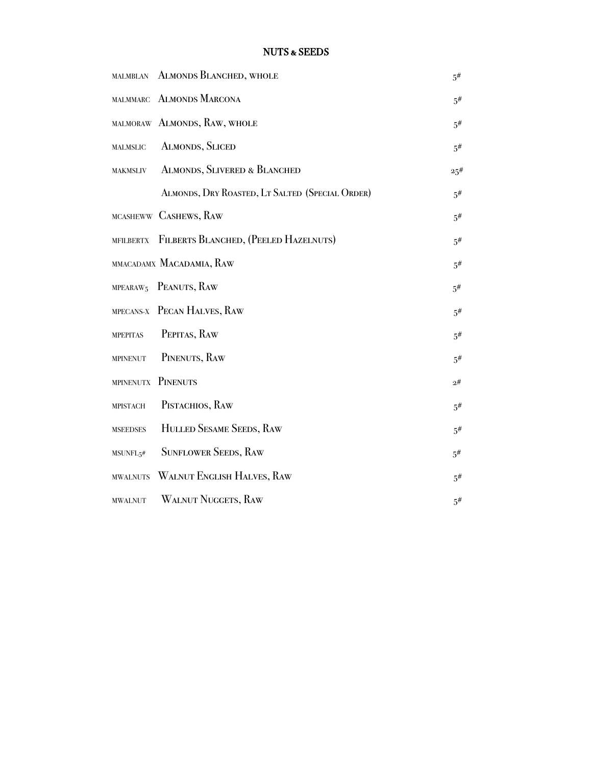| <b>MALMBLAN</b>       | <b>ALMONDS BLANCHED, WHOLE</b>                  | $5^{\#}$ |
|-----------------------|-------------------------------------------------|----------|
| <b>MALMMARC</b>       | <b>ALMONDS MARCONA</b>                          | .5#      |
|                       | MALMORAW ALMONDS, RAW, WHOLE                    | $5^{\#}$ |
| <b>MALMSLIC</b>       | <b>ALMONDS, SLICED</b>                          | 5#       |
| MAKMSLIV              | <b>ALMONDS, SLIVERED &amp; BLANCHED</b>         | 25#      |
|                       | ALMONDS, DRY ROASTED, LT SALTED (SPECIAL ORDER) | 5#       |
|                       | MCASHEWW CASHEWS, RAW                           | .5#      |
| <b>MFILBERTX</b>      | FILBERTS BLANCHED, (PEELED HAZELNUTS)           | .5#      |
|                       | MMACADAMX MACADAMIA, RAW                        | $5^{\#}$ |
| MPEARAW <sub>5</sub>  | PEANUTS, RAW                                    | $5^{\#}$ |
|                       | MPECANS-X PECAN HALVES, RAW                     | 5#       |
| <b>MPEPITAS</b>       | PEPITAS, RAW                                    | 5#       |
| <b>MPINENUT</b>       | PINENUTS, RAW                                   | $5^{\#}$ |
| <b>MPINENUTX</b>      | PINENUTS                                        | 2#       |
| <b>MPISTACH</b>       | PISTACHIOS, RAW                                 | .5#      |
| <b>MSEEDSES</b>       | HULLED SESAME SEEDS, RAW                        | $5^{\#}$ |
| MSUNFL <sub>5</sub> # | <b>SUNFLOWER SEEDS, RAW</b>                     | $5^{\#}$ |
| <b>MWALNUTS</b>       | WALNUT ENGLISH HALVES, RAW                      | 5#       |
| <b>MWALNUT</b>        | <b>WALNUT NUGGETS, RAW</b>                      | $5^{\#}$ |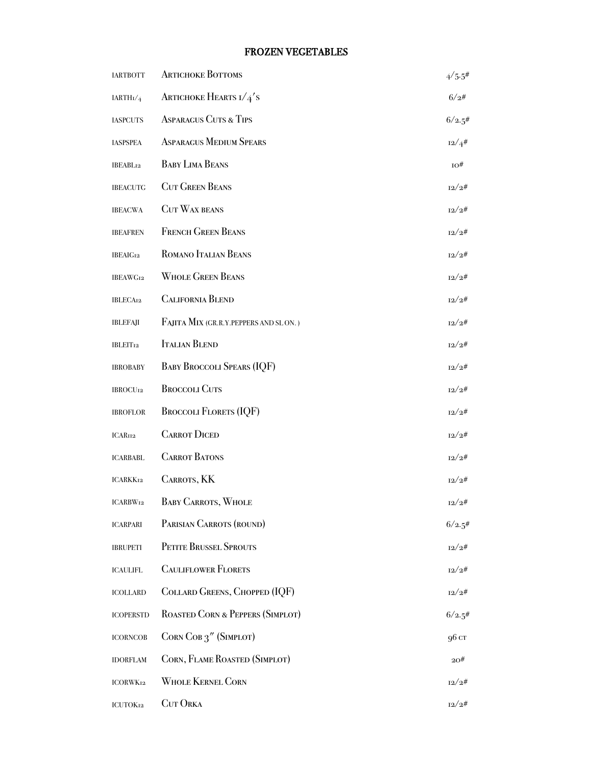#### FROZEN VEGETABLES

| <b>IARTBOTT</b>            | <b>ARTICHOKE BOTTOMS</b>              | $4/5.5$ # |
|----------------------------|---------------------------------------|-----------|
| $\text{IARTH}_\text{I}/_4$ | <b>ARTICHOKE HEARTS I/4'S</b>         | 6/2#      |
| <b>IASPCUTS</b>            | <b>ASPARAGUS CUTS &amp; TIPS</b>      | 6/2.5#    |
| <b>IASPSPEA</b>            | <b>ASPARAGUS MEDIUM SPEARS</b>        | 12/4#     |
| IBEABL12                   | <b>BABY LIMA BEANS</b>                | 10#       |
| <b>IBEACUTG</b>            | <b>CUT GREEN BEANS</b>                | 12/2#     |
| <b>IBEACWA</b>             | <b>CUT WAX BEANS</b>                  | 12/2#     |
| <b>IBEAFREN</b>            | <b>FRENCH GREEN BEANS</b>             | 12/2#     |
| <b>IBEAIG12</b>            | ROMANO ITALIAN BEANS                  | 12/2#     |
| <b>IBEAWG12</b>            | <b>WHOLE GREEN BEANS</b>              | 12/2#     |
| <b>IBLECA12</b>            | <b>CALIFORNIA BLEND</b>               | 12/2#     |
| <b>IBLEFAJI</b>            | FAJITA MIX (GR.R.Y.PEPPERS AND SLON.) | 12/2#     |
| <b>IBLEIT12</b>            | <b>ITALIAN BLEND</b>                  | 12/2#     |
| <b>IBROBABY</b>            | <b>BABY BROCCOLI SPEARS (IQF)</b>     | 12/2#     |
| <b>IBROCU12</b>            | <b>BROCCOLI CUTS</b>                  | 12/2#     |
| <b>IBROFLOR</b>            | <b>BROCCOLI FLORETS (IQF)</b>         | 12/2#     |
| ICAR112                    | <b>CARROT DICED</b>                   | 12/2#     |
| <b>ICARBABL</b>            | <b>CARROT BATONS</b>                  | 12/2#     |
| <b>ICARKK12</b>            | <b>CARROTS, KK</b>                    | 12/2#     |
| ICARBW12                   | <b>BABY CARROTS, WHOLE</b>            | 12/2#     |
| <b>ICARPARI</b>            | PARISIAN CARROTS (ROUND)              | 6/2.5#    |
| <b>IBRUPETI</b>            | PETITE BRUSSEL SPROUTS                | 12/2#     |
| <b>ICAULIFL</b>            | <b>CAULIFLOWER FLORETS</b>            | 12/2#     |
| ICOLLARD                   | COLLARD GREENS, CHOPPED (IQF)         | 12/2#     |
| <b>ICOPERSTD</b>           | ROASTED CORN & PEPPERS (SIMPLOT)      | 6/2.5#    |
| <b>ICORNCOB</b>            | CORN COB 3" (SIMPLOT)                 | 96 cr     |
| <b>IDORFLAM</b>            | CORN, FLAME ROASTED (SIMPLOT)         | 20#       |
| <b>ICORWK12</b>            | <b>WHOLE KERNEL CORN</b>              | 12/2#     |
| ICUTOK12                   | <b>CUT ORKA</b>                       | 12/2#     |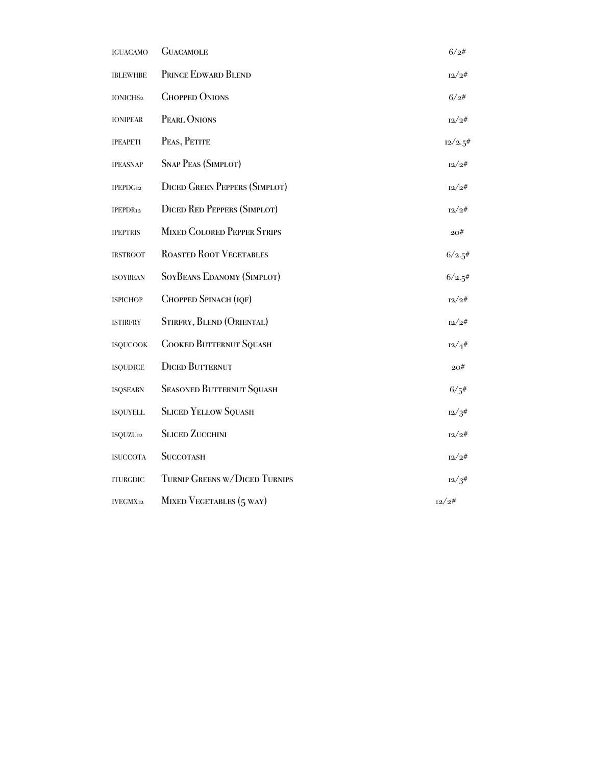| <b>IGUACAMO</b>      | <b>GUACAMOLE</b>                     | 6/2#       |
|----------------------|--------------------------------------|------------|
| <b>IBLEWHBE</b>      | PRINCE EDWARD BLEND                  | 12/2#      |
| IONICH62             | <b>CHOPPED ONIONS</b>                | 6/2#       |
| <b>IONIPEAR</b>      | PEARL ONIONS                         | 12/2#      |
| <b>IPEAPETI</b>      | PEAS, PETITE                         | $12/2.5$ # |
| <b>IPEASNAP</b>      | <b>SNAP PEAS (SIMPLOT)</b>           | 12/2#      |
| IPEPDG <sub>12</sub> | <b>DICED GREEN PEPPERS (SIMPLOT)</b> | 12/2#      |
| IPEPDR <sub>12</sub> | <b>DICED RED PEPPERS (SIMPLOT)</b>   | 12/2#      |
| <b>IPEPTRIS</b>      | <b>MIXED COLORED PEPPER STRIPS</b>   | 20#        |
| <b>IRSTROOT</b>      | <b>ROASTED ROOT VEGETABLES</b>       | 6/2.5#     |
| <b>ISOYBEAN</b>      | <b>SOYBEANS EDANOMY (SIMPLOT)</b>    | 6/2.5#     |
| <b>ISPICHOP</b>      | CHOPPED SPINACH (IQF)                | 12/2#      |
| <b>ISTIRFRY</b>      | STIRFRY, BLEND (ORIENTAL)            | 12/2#      |
| <b>ISQUCOOK</b>      | <b>COOKED BUTTERNUT SQUASH</b>       | 12/4#      |
| <b>ISQUDICE</b>      | <b>DICED BUTTERNUT</b>               | 20#        |
| <b>ISQSEABN</b>      | <b>SEASONED BUTTERNUT SQUASH</b>     | 6/5#       |
| <b>ISQUYELL</b>      | <b>SLICED YELLOW SQUASH</b>          | 12/3#      |
| ISQUZU <sub>12</sub> | <b>SLICED ZUCCHINI</b>               | 12/2#      |
| <b>ISUCCOTA</b>      | <b>SUCCOTASH</b>                     | 12/2#      |
| <b>ITURGDIC</b>      | TURNIP GREENS W/DICED TURNIPS        | 12/3#      |
| <b>IVEGMX12</b>      | MIXED VEGETABLES (5 WAY)             | 12/2#      |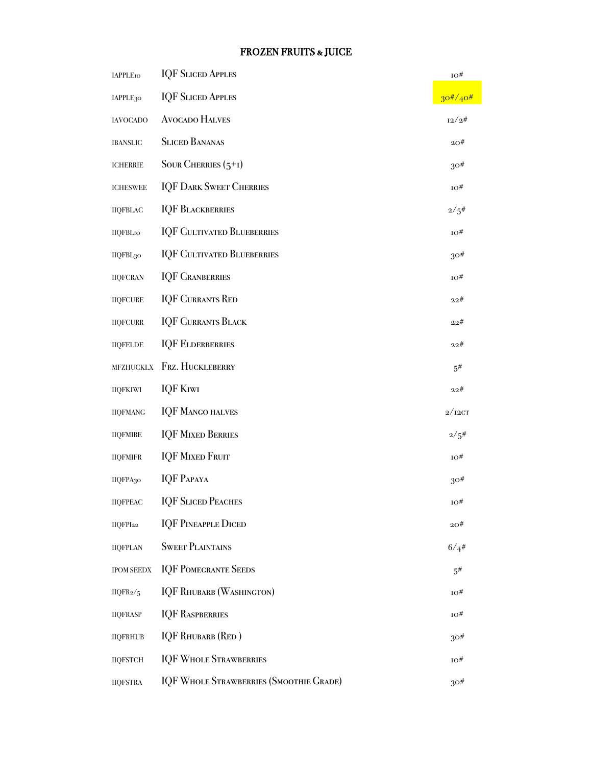# FROZEN FRUITS & JUICE

| <b>IAPPLE10</b>      | <b>IQF SLICED APPLES</b>                       | 10#             |
|----------------------|------------------------------------------------|-----------------|
| IAPPLE <sub>30</sub> | <b>IQF SLICED APPLES</b>                       | $30^{#}/40^{#}$ |
| <b>IAVOCADO</b>      | <b>AVOCADO HALVES</b>                          | 12/2#           |
| <b>IBANSLIC</b>      | <b>SLICED BANANAS</b>                          | $20^{\#}$       |
| <b>ICHERRIE</b>      | SOUR CHERRIES $(5+1)$                          | $30\#$          |
| <b>ICHESWEE</b>      | <b>IQF DARK SWEET CHERRIES</b>                 | 10#             |
| <b>IIQFBLAC</b>      | <b>IQF BLACKBERRIES</b>                        | 2/5#            |
| <b>IIQFBLIO</b>      | <b>IQF CULTIVATED BLUEBERRIES</b>              | 10#             |
| IIQFBL <sub>30</sub> | <b>IQF CULTIVATED BLUEBERRIES</b>              | $30\#$          |
| <b>IIQFCRAN</b>      | <b>IQF CRANBERRIES</b>                         | 10#             |
| <b>IIQFCURE</b>      | <b>IQF CURRANTS RED</b>                        | 22#             |
| <b>IIQFCURR</b>      | <b>IQF CURRANTS BLACK</b>                      | 22#             |
| <b>IIQFELDE</b>      | <b>IQF ELDERBERRIES</b>                        | 22#             |
| <b>MFZHUCKLX</b>     | FRZ. HUCKLEBERRY                               | $5^{\#}$        |
| <b>IIQFKIWI</b>      | <b>IQF KIWI</b>                                | 22#             |
| <b>IIQFMANG</b>      | <b>IQF MANGO HALVES</b>                        | 2/12CT          |
| <b>IIQFMIBE</b>      | <b>IQF MIXED BERRIES</b>                       | 2/5#            |
| <b>IIQFMIFR</b>      | <b>IQF MIXED FRUIT</b>                         | $10\#$          |
| IIQFPA30             | <b>IQF PAPAYA</b>                              | $30\#$          |
| <b>IIQFPEAC</b>      | <b>IQF SLICED PEACHES</b>                      | ю#              |
| IIQFPI <sub>22</sub> | <b>IQF PINEAPPLE DICED</b>                     | 20#             |
| <b>IIQFPLAN</b>      | <b>SWEET PLAINTAINS</b>                        | 6/4#            |
| <b>IPOM SEEDX</b>    | <b>IQF POMEGRANTE SEEDS</b>                    | $5^{\#}$        |
| IIQFR $\frac{2}{5}$  | <b>IQF RHUBARB (WASHINGTON)</b>                | ю#              |
| <b>IIQFRASP</b>      | <b>IQF RASPBERRIES</b>                         | 10#             |
| <b>IIQFRHUB</b>      | <b>IQF RHUBARB (RED)</b>                       | $30\#$          |
| <b>IIQFSTCH</b>      | <b>IQF WHOLE STRAWBERRIES</b>                  | 10#             |
| <b>IIQFSTRA</b>      | <b>IQF WHOLE STRAWBERRIES (SMOOTHIE GRADE)</b> | $30\#$          |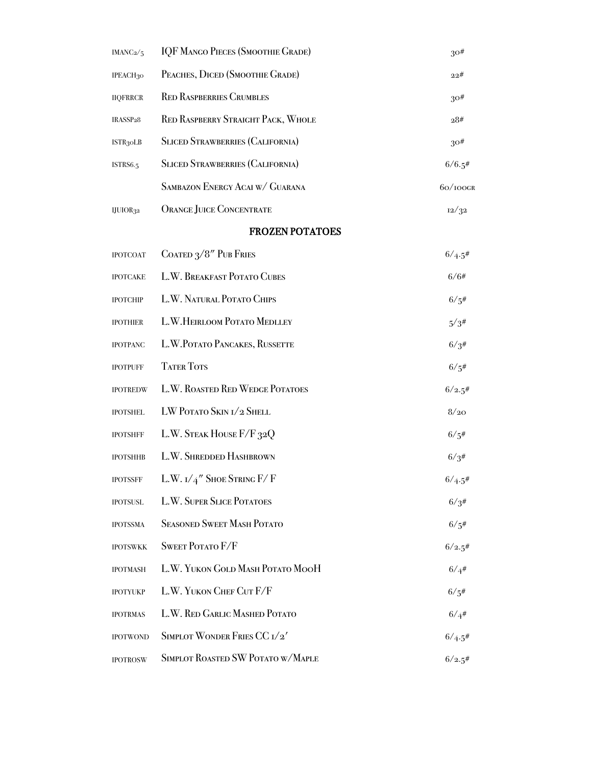| IMAN $C_2/5$          | <b>IQF MANGO PIECES (SMOOTHIE GRADE)</b>  | $30\#$      |
|-----------------------|-------------------------------------------|-------------|
| IPEACH30              | PEACHES, DICED (SMOOTHIE GRADE)           | 22#         |
| <b>IIQFRRCR</b>       | <b>RED RASPBERRIES CRUMBLES</b>           | $30\#$      |
| IRASSP <sub>28</sub>  | <b>RED RASPBERRY STRAIGHT PACK, WHOLE</b> | 28#         |
| ISTR <sub>3</sub> oLB | <b>SLICED STRAWBERRIES (CALIFORNIA)</b>   | $30\#$      |
| <b>ISTRS6.5</b>       | <b>SLICED STRAWBERRIES (CALIFORNIA)</b>   | 6/6.5#      |
|                       | SAMBAZON ENERGY ACAI W/ GUARANA           | $60/100$ gr |
| IJUIOR32              | <b>ORANGE JUICE CONCENTRATE</b>           | 12/32       |
|                       | <b>FROZEN POTATOES</b>                    |             |
| <b>IPOTCOAT</b>       | COATED 3/8" PUB FRIES                     | 6/4.5#      |
| <b>IPOTCAKE</b>       | L.W. BREAKFAST POTATO CUBES               | 6/6#        |
| <b>IPOTCHIP</b>       | L.W. NATURAL POTATO CHIPS                 | 6/5#        |
| <b>IPOTHIER</b>       | L.W.HEIRLOOM POTATO MEDLLEY               | 5/3#        |
| <b>IPOTPANC</b>       | L.W.POTATO PANCAKES, RUSSETTE             | 6/3#        |
| <b>IPOTPUFF</b>       | <b>TATER TOTS</b>                         | 6/5#        |
| <b>IPOTREDW</b>       | L.W. ROASTED RED WEDGE POTATOES           | 6/2.5#      |
| <b>IPOTSHEL</b>       | LW POTATO SKIN I/2 SHELL                  | 8/20        |
| <b>IPOTSHFF</b>       | L.W. STEAK HOUSE F/F 32Q                  | 6/5#        |
| <b>IPOTSHHB</b>       | L.W. SHREDDED HASHBROWN                   | 6/3#        |
| <b>IPOTSSFF</b>       | L.W. $I/4''$ Shoe String F/ F             | 6/4.5#      |
| <b>IPOTSUSL</b>       | <b>L.W. SUPER SLICE POTATOES</b>          | 6/3#        |
| <b>IPOTSSMA</b>       | <b>SEASONED SWEET MASH POTATO</b>         | 6/5#        |
| <b>IPOTSWKK</b>       | <b>SWEET POTATO F/F</b>                   | 6/2.5#      |
| <b>IPOTMASH</b>       | L.W. YUKON GOLD MASH POTATO MOOH          | 6/4#        |
| <b>IPOTYUKP</b>       | L.W. YUKON CHEF CUT F/F                   | 6/5#        |
| <b>IPOTRMAS</b>       | L.W. RED GARLIC MASHED POTATO             | 6/4#        |
| <b>IPOTWOND</b>       | SIMPLOT WONDER FRIES CC 1/2'              | 6/4.5#      |
| <b>IPOTROSW</b>       | SIMPLOT ROASTED SW POTATO W/MAPLE         | 6/2.5#      |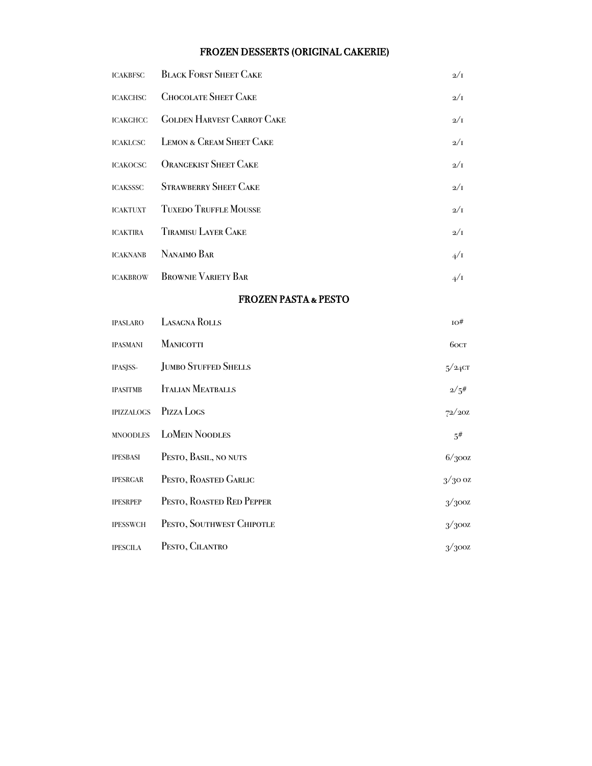# FROZEN DESSERTS (ORIGINAL CAKERIE)

| <b>ICAKBFSC</b>   | <b>BLACK FORST SHEET CAKE</b>     | $2/\mathrm{I}$ |
|-------------------|-----------------------------------|----------------|
| <b>ICAKCHSC</b>   | <b>CHOCOLATE SHEET CAKE</b>       | $2/\mathrm{I}$ |
| <b>ICAKGHCC</b>   | <b>GOLDEN HARVEST CARROT CAKE</b> | $2/\mathrm{I}$ |
| <b>ICAKLCSC</b>   | LEMON & CREAM SHEET CAKE          | $2/\mathrm{I}$ |
| <b>ICAKOCSC</b>   | <b>ORANGEKIST SHEET CAKE</b>      | $2/\mathrm{I}$ |
| <b>ICAKSSSC</b>   | <b>STRAWBERRY SHEET CAKE</b>      | $2/\mathrm{I}$ |
| <b>ICAKTUXT</b>   | <b>TUXEDO TRUFFLE MOUSSE</b>      | $2/\mathrm{I}$ |
| <b>ICAKTIRA</b>   | <b>TIRAMISU LAYER CAKE</b>        | $2/\mathrm{I}$ |
| <b>ICAKNANB</b>   | NANAIMO BAR                       | 4/1            |
| <b>ICAKBROW</b>   | <b>BROWNIE VARIETY BAR</b>        | $4/\Gamma$     |
|                   | <b>FROZEN PASTA &amp; PESTO</b>   |                |
| <b>IPASLARO</b>   | <b>LASAGNA ROLLS</b>              | $10\#$         |
| <b>IPASMANI</b>   | <b>MANICOTTI</b>                  | 60CT           |
| IPASJSS-          | <b>JUMBO STUFFED SHELLS</b>       | $5/24$ CT      |
| <b>IPASITMB</b>   | <b>ITALIAN MEATBALLS</b>          | 2/5#           |
| <b>IPIZZALOGS</b> | PIZZA LOGS                        | 72/20Z         |
| <b>MNOODLES</b>   | <b>LOMEIN NOODLES</b>             | 5#             |
| <b>IPESBASI</b>   | PESTO, BASIL, NO NUTS             | 6/300z         |
| <b>IPESRGAR</b>   | PESTO, ROASTED GARLIC             | $3/300$ z      |
| <b>IPESRPEP</b>   | PESTO, ROASTED RED PEPPER         | 3/300z         |
| <b>IPESSWCH</b>   | PESTO, SOUTHWEST CHIPOTLE         | 3/300z         |
| <b>IPESCILA</b>   | PESTO, CILANTRO                   | 3/300z         |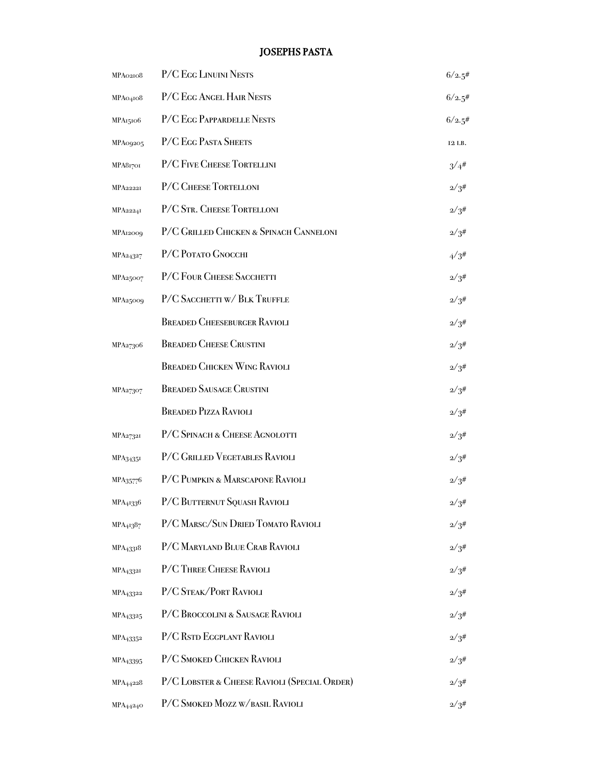# JOSEPHS PASTA

| MPA02108              | P/C EGG LINUINI NESTS                        | 6/2.5#     |
|-----------------------|----------------------------------------------|------------|
| MPA04108              | P/C EGG ANGEL HAIR NESTS                     | 6/2.5#     |
| MPA15106              | P/C EGG PAPPARDELLE NESTS                    | 6/2.5#     |
| MPA09205              | P/C EGG PASTA SHEETS                         | 12 LB.     |
| MPA81701              | P/C FIVE CHEESE TORTELLINI                   | $3/4^{#}$  |
| <b>MPA22221</b>       | P/C CHEESE TORTELLONI                        | $2/3^{\#}$ |
| MPA22241              | P/C STR. CHEESE TORTELLONI                   | $2/3^{\#}$ |
| MPA12009              | P/C GRILLED CHICKEN & SPINACH CANNELONI      | $2/3^{\#}$ |
| MPA24327              | P/C POTATO GNOCCHI                           | 4/3#       |
| MPA25007              | P/C FOUR CHEESE SACCHETTI                    | $2/3^{\#}$ |
| MPA25009              | P/C SACCHETTI W/ BLK TRUFFLE                 | $2/3^{\#}$ |
|                       | <b>BREADED CHEESEBURGER RAVIOLI</b>          | $2/3^{\#}$ |
| MPA27306              | <b>BREADED CHEESE CRUSTINI</b>               | $2/3^{\#}$ |
|                       | <b>BREADED CHICKEN WING RAVIOLI</b>          | $2/3^{\#}$ |
| MPA27307              | <b>BREADED SAUSAGE CRUSTINI</b>              | $2/3^{\#}$ |
|                       | <b>BREADED PIZZA RAVIOLI</b>                 | $2/3^{\#}$ |
| MPA27321              | P/C SPINACH & CHEESE AGNOLOTTI               | $2/3^{\#}$ |
| MPA34351              | P/C GRILLED VEGETABLES RAVIOLI               | $2/3^{\#}$ |
| MPA35776              | P/C PUMPKIN & MARSCAPONE RAVIOLI             | $2/3^{\#}$ |
| MPA <sub>4133</sub> 6 | P/C BUTTERNUT SQUASH RAVIOLI                 | 2/3#       |
| MPA <sub>413</sub> 87 | P/C MARSC/SUN DRIED TOMATO RAVIOLI           | $2/3^{\#}$ |
| MPA <sub>43318</sub>  | P/C MARYLAND BLUE CRAB RAVIOLI               | $2/3^{\#}$ |
| MPA <sub>43321</sub>  | P/C THREE CHEESE RAVIOLI                     | $2/3^{\#}$ |
| MPA <sub>43322</sub>  | P/C STEAK/PORT RAVIOLI                       | $2/3^{\#}$ |
| MPA <sub>43325</sub>  | P/C BROCCOLINI & SAUSAGE RAVIOLI             | $2/3^{\#}$ |
| MPA <sub>43352</sub>  | P/C RSTD EGGPLANT RAVIOLI                    | $2/3^{\#}$ |
| MPA <sub>43395</sub>  | P/C SMOKED CHICKEN RAVIOLI                   | $2/3^{\#}$ |
| MPA <sub>4422</sub> 8 | P/C LOBSTER & CHEESE RAVIOLI (SPECIAL ORDER) | $2/3^{\#}$ |
| MPA <sub>44240</sub>  | P/C SMOKED MOZZ W/BASIL RAVIOLI              | $2/3^{\#}$ |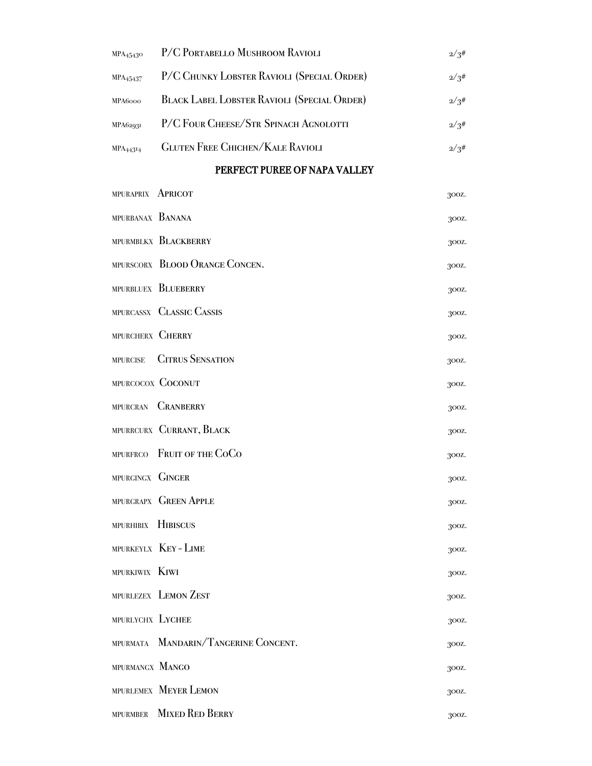| MPA <sub>45430</sub> | P/C PORTABELLO MUSHROOM RAVIOLI             | $2/3^{\#}$ |
|----------------------|---------------------------------------------|------------|
| MPA <sub>45437</sub> | P/C CHUNKY LOBSTER RAVIOLI (SPECIAL ORDER)  | 2/3#       |
| MPA6000              | BLACK LABEL LOBSTER RAVIOLI (SPECIAL ORDER) | 2/3#       |
| <b>MPA62931</b>      | P/C FOUR CHEESE/STR SPINACH AGNOLOTTI       | 2/3#       |
| <b>MPA44314</b>      | <b>GLUTEN FREE CHICHEN/KALE RAVIOLI</b>     | 2/3#       |
|                      |                                             |            |

# PERFECT PUREE OF NAPA VALLEY

| MPURAPRIX <b>APRICOT</b> |                                      | 300Z. |
|--------------------------|--------------------------------------|-------|
| MPURBANAX BANANA         |                                      | 300Z. |
|                          | MPURMBLKX BLACKBERRY                 | 300Z. |
|                          | MPURSCORX BLOOD ORANGE CONCEN.       | 300Z. |
|                          | MPURBLUEX BLUEBERRY                  | 300Z. |
|                          | MPURCASSX CLASSIC CASSIS             | 300Z. |
| MPURCHERX CHERRY         |                                      | 300Z. |
| <b>MPURCISE</b>          | <b>CITRUS SENSATION</b>              | 300Z. |
|                          | MPURCOCOX COCONUT                    | 300Z. |
|                          | MPURCRAN CRANBERRY                   | 300Z. |
|                          | MPURRCURX CURRANT, BLACK             | 300Z. |
|                          | MPURFRCO FRUIT OF THE COCO           | 300Z. |
| MPURGINGX GINGER         |                                      | 300Z. |
|                          | MPURGRAPX GREEN APPLE                | 300Z. |
| MPURHIBIX HIBISCUS       |                                      | 300Z. |
|                          | MPURKEYLX KEY - LIME                 | 300Z. |
| MPURKIWIX KIWI           |                                      | 300Z. |
|                          | MPURLEZEX LEMON ZEST                 | 300Z. |
| MPURLYCHX LYCHEE         |                                      | 300Z. |
|                          | MPURMATA MANDARIN/TANGERINE CONCENT. | 300Z. |
| MPURMANGX MANGO          |                                      | 300Z. |
|                          | MPURLEMEX MEYER LEMON                | 300Z. |
| <b>MPURMBER</b>          | <b>MIXED RED BERRY</b>               | 300Z. |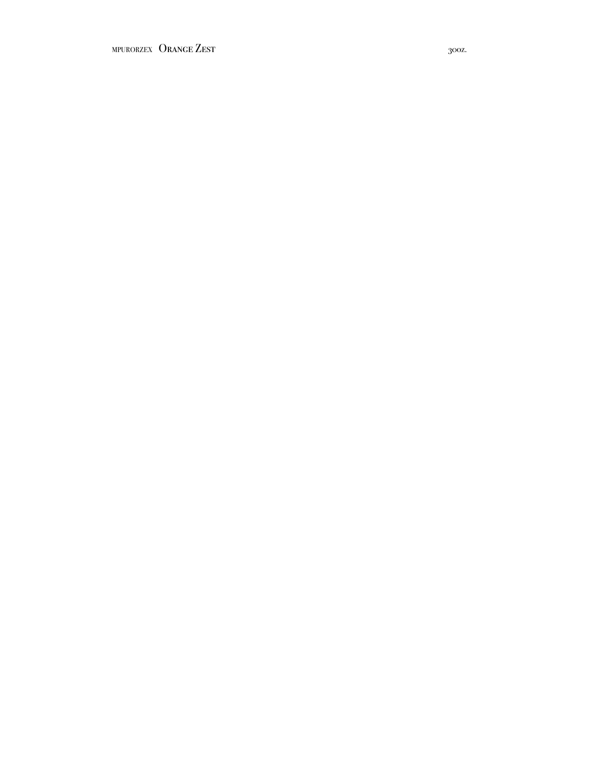MPURORZEX ORANGE ZEST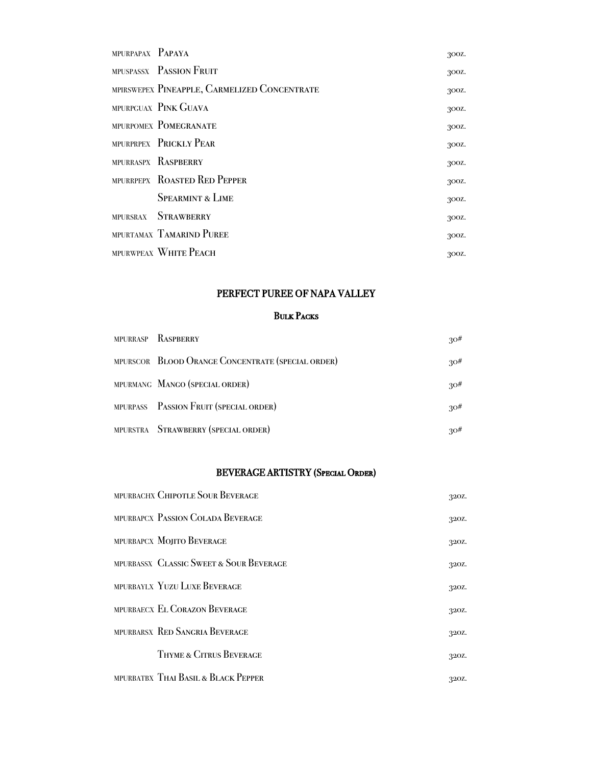| MPURPAPAX PAPAYA |                                              | 300Z. |
|------------------|----------------------------------------------|-------|
|                  | MPUSPASSX PASSION FRUIT                      | 300Z. |
|                  | MPIRSWEPEX PINEAPPLE, CARMELIZED CONCENTRATE | 300Z. |
|                  | MPURPGUAX PINK GUAVA                         | 300Z. |
|                  | MPURPOMEX POMEGRANATE                        | 300Z. |
|                  | MPURPRPEX PRICKLY PEAR                       | 300Z. |
|                  | MPURRASPX RASPBERRY                          | 300Z. |
|                  | MPURRPEPX ROASTED RED PEPPER                 | 300Z. |
|                  | <b>SPEARMINT &amp; LIME</b>                  | 300Z. |
|                  | MPURSRAX STRAWBERRY                          | 300Z. |
|                  | MPURTAMAX TAMARIND PUREE                     | 300Z. |
|                  | MPURWPEAX WHITE PEACH                        | 300Z. |

# PERFECT PUREE OF NAPA VALLEY

## Bulk Packs

|  | MPURRASP RASPBERRY                                | 30# |
|--|---------------------------------------------------|-----|
|  | MPURSCOR BLOOD ORANGE CONCENTRATE (SPECIAL ORDER) | 30# |
|  | MPURMANG MANGO (SPECIAL ORDER)                    | 30# |
|  | MPURPASS PASSION FRUIT (SPECIAL ORDER)            | 30# |
|  | MPURSTRA STRAWBERRY (SPECIAL ORDER)               | 30# |

# BEVERAGE ARTISTRY (Special Order)

|  | MPURBACHX CHIPOTLE SOUR BEVERAGE        | 320Z. |
|--|-----------------------------------------|-------|
|  | MPURBAPCX PASSION COLADA BEVERAGE       | 320Z. |
|  | MPURBAPCX MOJITO BEVERAGE               | 320Z. |
|  | MPURBASSX CLASSIC SWEET & SOUR BEVERAGE | 320Z. |
|  | MPURBAYLX YUZU LUXE BEVERAGE            | 320Z. |
|  | MPURBAECX EL CORAZON BEVERAGE           | 320Z. |
|  | MPURBARSX RED SANGRIA BEVERAGE          | 320Z. |
|  | THYME & CITRUS BEVERAGE                 | 320Z. |
|  | MPURBATBX THAI BASIL & BLACK PEPPER     | 320Z. |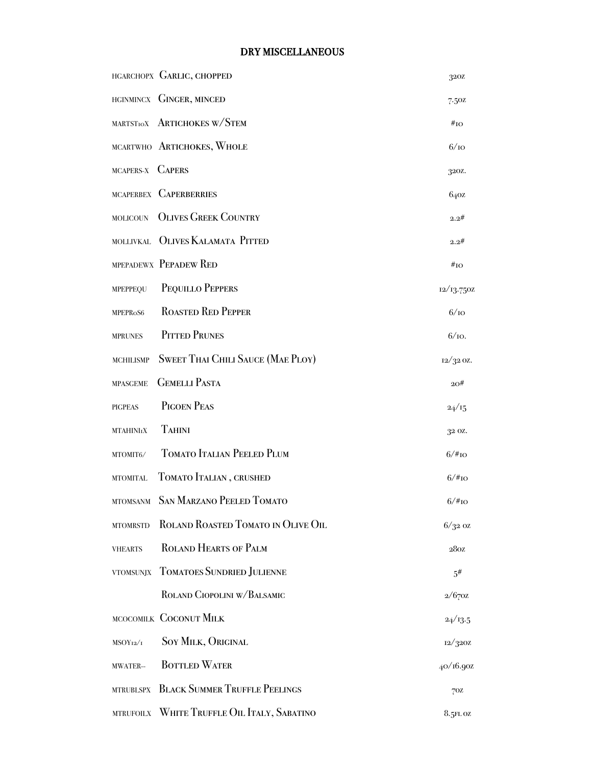# DRY MISCELLANEOUS

|                  | HGARCHOPX GARLIC, CHOPPED                   | 320Z               |
|------------------|---------------------------------------------|--------------------|
|                  | HGINMINCX GINGER, MINCED                    | 7.50Z              |
|                  | MARTSTIOX ARTICHOKES W/STEM                 | $\#_{\text{IO}}$   |
|                  | MCARTWHO ARTICHOKES, WHOLE                  | 6/10               |
| MCAPERS-X CAPERS |                                             | 320Z.              |
|                  | MCAPERBEX CAPERBERRIES                      | 640z               |
| MOLICOUN         | <b>OLIVES GREEK COUNTRY</b>                 | 2.2#               |
|                  | MOLLIVKAL OLIVES KALAMATA PITTED            | 2.2#               |
|                  | MPEPADEWX PEPADEW RED                       | $\#_{\text{IO}}$   |
| MPEPPEQU         | PEQUILLO PEPPERS                            | 12/13.750Z         |
| MPEPRoS6         | <b>ROASTED RED PEPPER</b>                   | 6/10               |
| <b>MPRUNES</b>   | <b>PITTED PRUNES</b>                        | $6/10$ .           |
| <b>MCHILISMP</b> | <b>SWEET THAI CHILI SAUCE (MAE PLOY)</b>    | $12/32$ OZ.        |
| <b>MPASGEME</b>  | <b>GEMELLI PASTA</b>                        | 20#                |
| <b>PIGPEAS</b>   | PIGOEN PEAS                                 | 24/15              |
| <b>MTAHINIIX</b> | <b>TAHINI</b>                               | 32 OZ.             |
| MTOMIT6/         | <b>TOMATO ITALIAN PEELED PLUM</b>           | $6/\#_{\text{IO}}$ |
| <b>MTOMITAL</b>  | TOMATO ITALIAN, CRUSHED                     | $6/#_{IO}$         |
|                  | MTOMSANM SAN MARZANO PEELED TOMATO          | $6/\text{\#io}$    |
| <b>MTOMRSTD</b>  | ROLAND ROASTED TOMATO IN OLIVE OIL          | $6/32$ oz          |
| <b>VHEARTS</b>   | <b>ROLAND HEARTS OF PALM</b>                | 280Z               |
|                  | VTOMSUNJX TOMATOES SUNDRIED JULIENNE        | 5#                 |
|                  | ROLAND CIOPOLINI W/BALSAMIC                 | 2/670z             |
|                  | MCOCOMILK COCONUT MILK                      | 24/13.5            |
| $MSOY_{12}/I$    | <b>SOY MILK, ORIGINAL</b>                   | 12/320Z            |
| MWATER-          | <b>BOTTLED WATER</b>                        | 40/16.90z          |
|                  | MTRUBLSPX BLACK SUMMER TRUFFLE PEELINGS     | 70Z                |
|                  | MTRUFOILX WHITE TRUFFLE OIL ITALY, SABATINO | $8.5$ FL OZ        |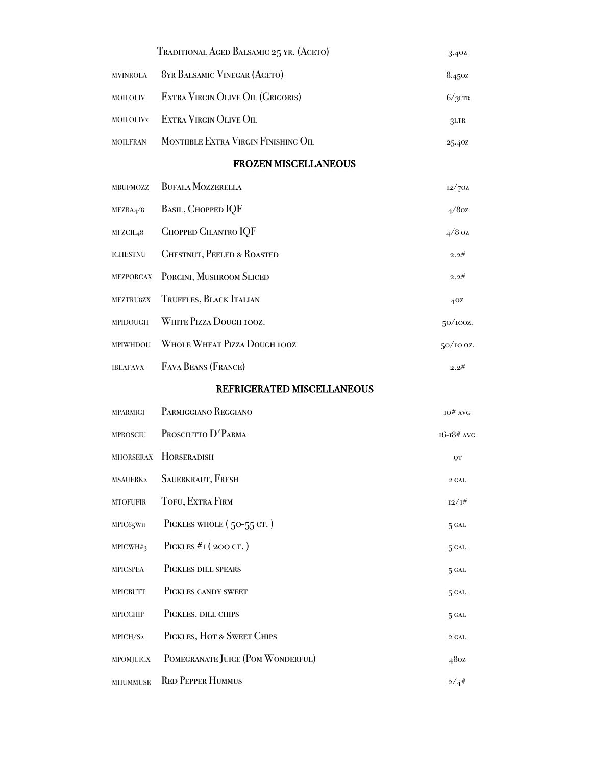|                       | TRADITIONAL AGED BALSAMIC 25 YR. (ACETO) | 3.40Z             |
|-----------------------|------------------------------------------|-------------------|
| <b>MVINROLA</b>       | 8YR BALSAMIC VINEGAR (ACETO)             | 8.45oz            |
| <b>MOILOLIV</b>       | EXTRA VIRGIN OLIVE OIL (GRIGORIS)        | $6/3$ LTR         |
| <b>MOILOLIVX</b>      | EXTRA VIRGIN OLIVE OIL                   | 3LTR              |
| <b>MOILFRAN</b>       | MONTIIBLE EXTRA VIRGIN FINISHING OIL     | 25.40Z            |
|                       | <b>FROZEN MISCELLANEOUS</b>              |                   |
| MBUFMOZZ              | <b>BUFALA MOZZERELLA</b>                 | $12/70Z$          |
| MFZBA <sub>4</sub> /8 | BASIL, CHOPPED IQF                       | $4/8$ oz          |
| MFZCIL <sub>4</sub> 8 | CHOPPED CILANTRO IQF                     | $4/8$ oz          |
| <b>ICHESTNU</b>       | <b>CHESTNUT, PEELED &amp; ROASTED</b>    | 2.2#              |
| <b>MFZPORCAX</b>      | PORCINI, MUSHROOM SLICED                 | 2.2#              |
| MFZTRU8ZX             | TRUFFLES, BLACK ITALIAN                  | 40Z               |
| MPIDOUGH              | WHITE PIZZA DOUGH IOOZ.                  | 50/100z.          |
| MPIWHDOU              | <b>WHOLE WHEAT PIZZA DOUGH IOOZ</b>      | $50/100$ z.       |
| <b>IBEAFAVX</b>       | FAVA BEANS (FRANCE)                      | 2.2#              |
|                       | REFRIGERATED MISCELLANEOUS               |                   |
| <b>MPARMIGI</b>       | PARMIGGIANO REGGIANO                     | $IO#$ AVG         |
| <b>MPROSCIU</b>       | PROSCIUTTO D'PARMA                       | $16 - 18$ # AVG   |
|                       | MHORSERAX HORSERADISH                    | QT                |
| MSAUERK2              | SAUERKRAUT, FRESH                        | $2\ \mathrm{GAL}$ |
| <b>MTOFUFIR</b>       | TOFU, EXTRA FIRM                         | 12/1#             |
| MPIC65WH              | PICKLES WHOLE (50-55 CT.)                | 5 GAL             |
| $MPICWH#_3$           | PICKLES $#I$ (200 CT.)                   | 5 GAL             |
| MPICSPEA              | PICKLES DILL SPEARS                      | 5 GAL             |
| <b>MPICBUTT</b>       | PICKLES CANDY SWEET                      | 5 GAL             |
| <b>MPICCHIP</b>       | PICKLES. DILL CHIPS                      | 5 GAL             |
| MPICH/S2              | PICKLES, HOT & SWEET CHIPS               | $2$ GAL           |
| MPOMJUICX             | POMEGRANATE JUICE (POM WONDERFUL)        | 480z              |
| <b>MHUMMUSR</b>       | <b>RED PEPPER HUMMUS</b>                 | $2/4^{\#}$        |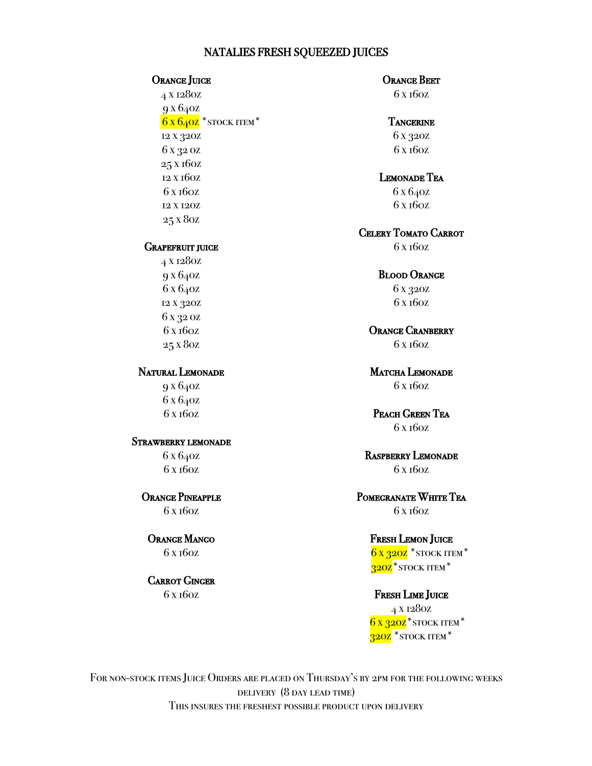## NATALIES FRESH SQUEEZED JUICES

# Orange Juice<br> $4 \times 128$ oz

9 x 64oz  $6x640z$  \* stock item \* 12 x 32oz 6 x 32 oz 25 x 16oz 12 x 16oz 6 x 160z 12 x 12oz 25 x 8oz

# GRAPEFRUIT JUICE

4 x 128oz 9 x 64oz 6 x 64oz 12 x 32oz 6 x 32 oz 6 x 160z 25 x 8oz

## Natural Lemonade

9 x 64oz 6 x 64oz 6 x 16oz

# Strawberry lemonade

6 x 64oz 6 x 16oz

Orange Pineapple

6 x 16oz

# Orange Mango

6 x 16oz

Carrot Ginger 6 x 16oz

## ORANGE BEET

6 x 16oz

#### **TANGERINE**

6 x 32oz 6 x 16oz

## Lemonade Tea

6 x 64oz 6 x 160z

#### Celery Tomato Carrot

6 x 16oz

#### Blood Orange

6 x 32oz 6 x 16oz

# ORANGE CRANBERRY

6 x 16oz

#### MATCHA LEMONADE 6 x 16oz

## Peach Green Tea 6 x 16oz

# Raspberry Lemonade 6 x 16oz

# Pomegranate White Tea 6 x 16oz

## Fresh Lemon Juice

 $6x320z$  \* stock item \* 320Z<sup>\*</sup>STOCK ITEM<sup>\*</sup>

#### FRESH LIME JUICE

4 x 128oz  $6x320z$ <sup>\*</sup>stock item<sup>\*</sup> 320Z<sup>\*</sup>STOCK ITEM<sup>\*</sup>

FOR NON-STOCK ITEMS JUICE ORDERS ARE PLACED ON THURSDAY'S BY 2PM FOR THE FOLLOWING WEEKS delivery (8 day lead time) This insures the freshest possible product upon delivery